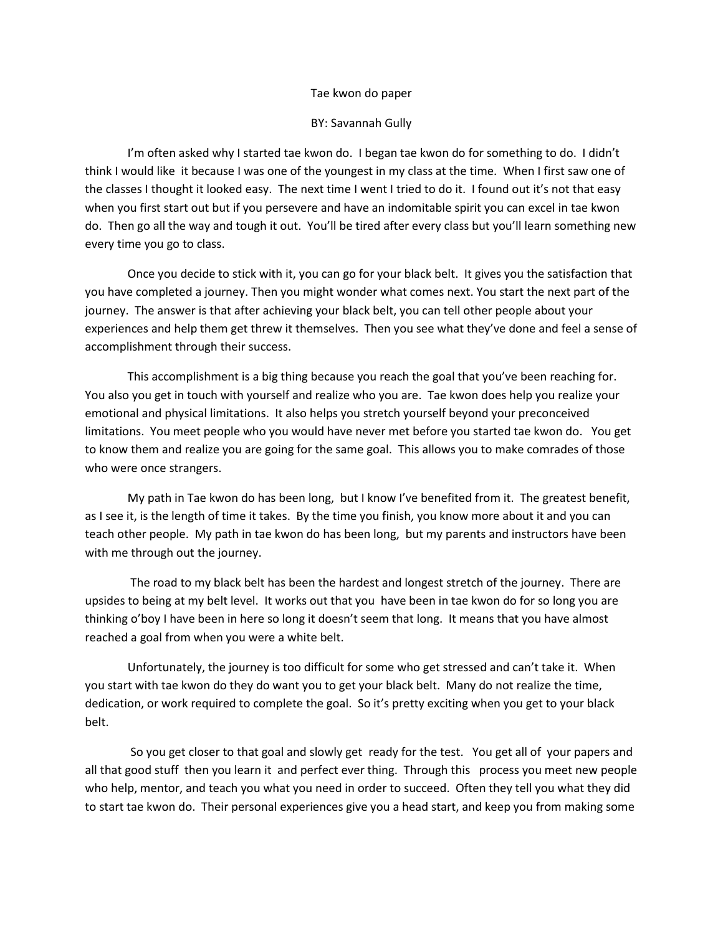## Tae kwon do paper

## BY: Savannah Gully

I'm often asked why I started tae kwon do. I began tae kwon do for something to do. I didn't think I would like it because I was one of the youngest in my class at the time. When I first saw one of the classes I thought it looked easy. The next time I went I tried to do it. I found out it's not that easy when you first start out but if you persevere and have an indomitable spirit you can excel in tae kwon do. Then go all the way and tough it out. You'll be tired after every class but you'll learn something new every time you go to class.

Once you decide to stick with it, you can go for your black belt. It gives you the satisfaction that you have completed a journey. Then you might wonder what comes next. You start the next part of the journey. The answer is that after achieving your black belt, you can tell other people about your experiences and help them get threw it themselves. Then you see what they've done and feel a sense of accomplishment through their success.

This accomplishment is a big thing because you reach the goal that you've been reaching for. You also you get in touch with yourself and realize who you are. Tae kwon does help you realize your emotional and physical limitations. It also helps you stretch yourself beyond your preconceived limitations. You meet people who you would have never met before you started tae kwon do. You get to know them and realize you are going for the same goal. This allows you to make comrades of those who were once strangers.

My path in Tae kwon do has been long, but I know I've benefited from it. The greatest benefit, as I see it, is the length of time it takes. By the time you finish, you know more about it and you can teach other people. My path in tae kwon do has been long, but my parents and instructors have been with me through out the journey.

The road to my black belt has been the hardest and longest stretch of the journey. There are upsides to being at my belt level. It works out that you have been in tae kwon do for so long you are thinking o'boy I have been in here so long it doesn't seem that long. It means that you have almost reached a goal from when you were a white belt.

Unfortunately, the journey is too difficult for some who get stressed and can't take it. When you start with tae kwon do they do want you to get your black belt. Many do not realize the time, dedication, or work required to complete the goal. So it's pretty exciting when you get to your black belt.

So you get closer to that goal and slowly get ready for the test. You get all of your papers and all that good stuff then you learn it and perfect ever thing. Through this process you meet new people who help, mentor, and teach you what you need in order to succeed. Often they tell you what they did to start tae kwon do. Their personal experiences give you a head start, and keep you from making some